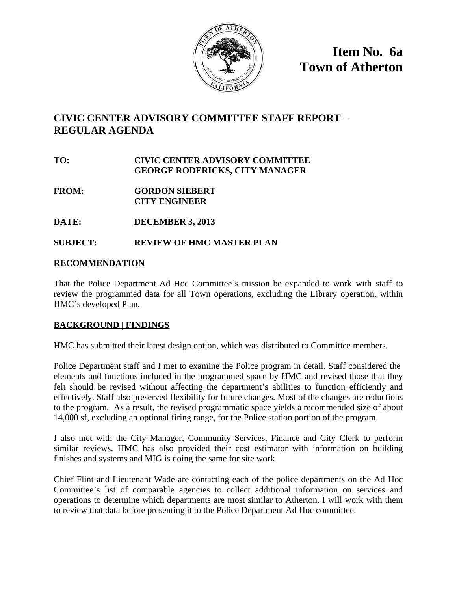

**Item No. 6a Town of Atherton**

# **CIVIC CENTER ADVISORY COMMITTEE STAFF REPORT – REGULAR AGENDA**

## **TO: CIVIC CENTER ADVISORY COMMITTEE GEORGE RODERICKS, CITY MANAGER**

- **FROM: GORDON SIEBERT CITY ENGINEER**
- **DATE: DECEMBER 3, 2013**

# **SUBJECT: REVIEW OF HMC MASTER PLAN**

### **RECOMMENDATION**

That the Police Department Ad Hoc Committee's mission be expanded to work with staff to review the programmed data for all Town operations, excluding the Library operation, within HMC's developed Plan.

### **BACKGROUND | FINDINGS**

HMC has submitted their latest design option, which was distributed to Committee members.

Police Department staff and I met to examine the Police program in detail. Staff considered the elements and functions included in the programmed space by HMC and revised those that they felt should be revised without affecting the department's abilities to function efficiently and effectively. Staff also preserved flexibility for future changes. Most of the changes are reductions to the program. As a result, the revised programmatic space yields a recommended size of about 14,000 sf, excluding an optional firing range, for the Police station portion of the program.

I also met with the City Manager, Community Services, Finance and City Clerk to perform similar reviews. HMC has also provided their cost estimator with information on building finishes and systems and MIG is doing the same for site work.

Chief Flint and Lieutenant Wade are contacting each of the police departments on the Ad Hoc Committee's list of comparable agencies to collect additional information on services and operations to determine which departments are most similar to Atherton. I will work with them to review that data before presenting it to the Police Department Ad Hoc committee.